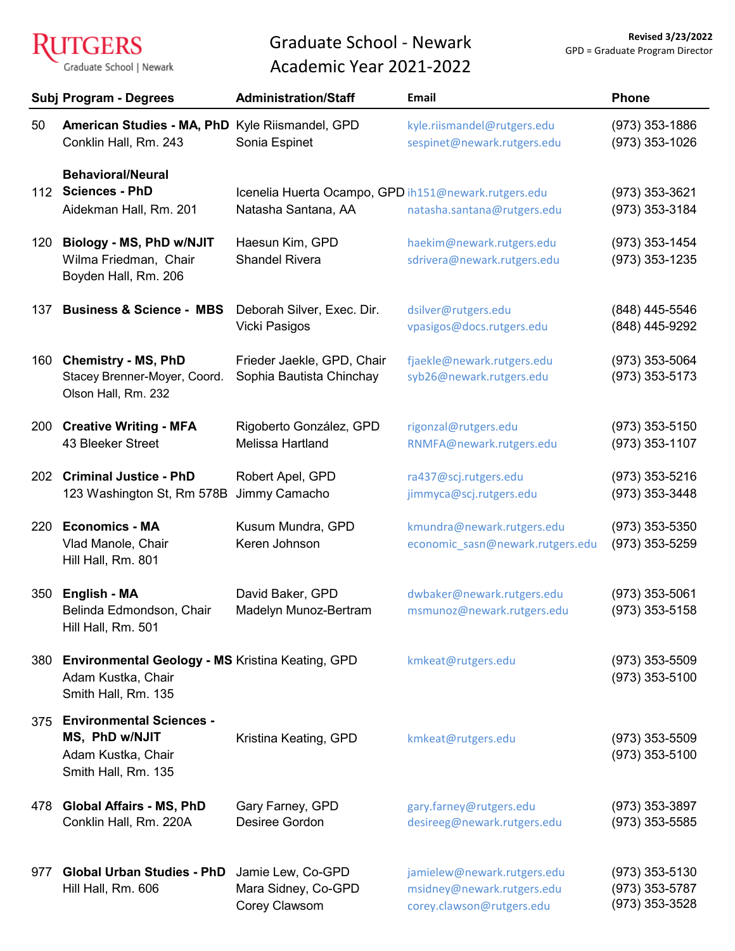GERS Graduate School | Newark

## Graduate School - Newark Academic Year 2021-2022

|     | <b>Subj Program - Degrees</b>                                                                        | <b>Administration/Staff</b>                                                 | Email                                                                                  | <b>Phone</b>                                         |
|-----|------------------------------------------------------------------------------------------------------|-----------------------------------------------------------------------------|----------------------------------------------------------------------------------------|------------------------------------------------------|
| 50  | <b>American Studies - MA, PhD</b><br>Conklin Hall, Rm. 243                                           | Kyle Riismandel, GPD<br>Sonia Espinet                                       | kyle.riismandel@rutgers.edu<br>sespinet@newark.rutgers.edu                             | $(973)$ 353-1886<br>(973) 353-1026                   |
| 112 | <b>Behavioral/Neural</b><br><b>Sciences - PhD</b><br>Aidekman Hall, Rm. 201                          | Icenelia Huerta Ocampo, GPD ih151@newark.rutgers.edu<br>Natasha Santana, AA | natasha.santana@rutgers.edu                                                            | $(973)$ 353-3621<br>(973) 353-3184                   |
| 120 | Biology - MS, PhD w/NJIT<br>Wilma Friedman, Chair<br>Boyden Hall, Rm. 206                            | Haesun Kim, GPD<br><b>Shandel Rivera</b>                                    | haekim@newark.rutgers.edu<br>sdrivera@newark.rutgers.edu                               | $(973)$ 353-1454<br>(973) 353-1235                   |
| 137 | <b>Business &amp; Science - MBS</b>                                                                  | Deborah Silver, Exec. Dir.<br>Vicki Pasigos                                 | dsilver@rutgers.edu<br>vpasigos@docs.rutgers.edu                                       | (848) 445-5546<br>(848) 445-9292                     |
| 160 | <b>Chemistry - MS, PhD</b><br>Stacey Brenner-Moyer, Coord.<br>Olson Hall, Rm. 232                    | Frieder Jaekle, GPD, Chair<br>Sophia Bautista Chinchay                      | fjaekle@newark.rutgers.edu<br>syb26@newark.rutgers.edu                                 | (973) 353-5064<br>$(973)$ 353-5173                   |
| 200 | <b>Creative Writing - MFA</b><br>43 Bleeker Street                                                   | Rigoberto González, GPD<br>Melissa Hartland                                 | rigonzal@rutgers.edu<br>RNMFA@newark.rutgers.edu                                       | $(973)$ 353-5150<br>$(973)$ 353-1107                 |
| 202 | <b>Criminal Justice - PhD</b><br>123 Washington St, Rm 578B                                          | Robert Apel, GPD<br>Jimmy Camacho                                           | ra437@scj.rutgers.edu<br>jimmyca@scj.rutgers.edu                                       | $(973)$ 353-5216<br>$(973)$ 353-3448                 |
| 220 | <b>Economics - MA</b><br>Vlad Manole, Chair<br>Hill Hall, Rm. 801                                    | Kusum Mundra, GPD<br>Keren Johnson                                          | kmundra@newark.rutgers.edu<br>economic_sasn@newark.rutgers.edu                         | $(973)$ 353-5350<br>(973) 353-5259                   |
|     | 350 English - MA<br>Belinda Edmondson, Chair<br>Hill Hall, Rm. 501                                   | David Baker, GPD<br>Madelyn Munoz-Bertram                                   | dwbaker@newark.rutgers.edu<br>msmunoz@newark.rutgers.edu                               | $(973)$ 353-5061<br>(973) 353-5158                   |
| 380 | <b>Environmental Geology - MS Kristina Keating, GPD</b><br>Adam Kustka, Chair<br>Smith Hall, Rm. 135 |                                                                             | kmkeat@rutgers.edu                                                                     | $(973)$ 353-5509<br>$(973)$ 353-5100                 |
| 375 | <b>Environmental Sciences -</b><br>MS, PhD w/NJIT<br>Adam Kustka, Chair<br>Smith Hall, Rm. 135       | Kristina Keating, GPD                                                       | kmkeat@rutgers.edu                                                                     | $(973)$ 353-5509<br>$(973)$ 353-5100                 |
| 478 | <b>Global Affairs - MS, PhD</b><br>Conklin Hall, Rm. 220A                                            | Gary Farney, GPD<br>Desiree Gordon                                          | gary.farney@rutgers.edu<br>desireeg@newark.rutgers.edu                                 | $(973)$ 353-3897<br>$(973)$ 353-5585                 |
| 977 | <b>Global Urban Studies - PhD</b><br>Hill Hall, Rm. 606                                              | Jamie Lew, Co-GPD<br>Mara Sidney, Co-GPD<br>Corey Clawsom                   | jamielew@newark.rutgers.edu<br>msidney@newark.rutgers.edu<br>corey.clawson@rutgers.edu | $(973)$ 353-5130<br>(973) 353-5787<br>(973) 353-3528 |